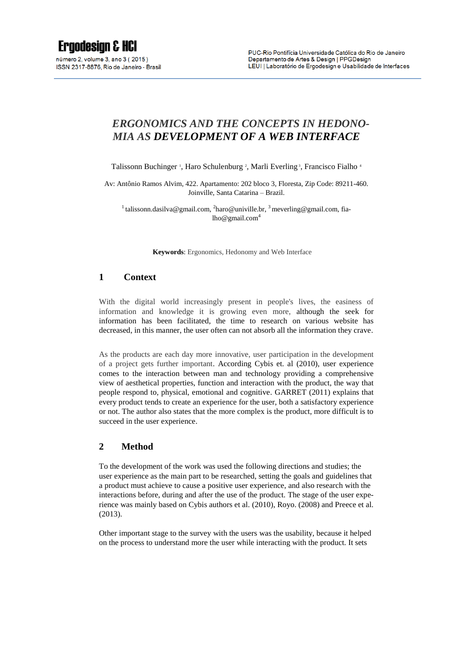# *ERGONOMICS AND THE CONCEPTS IN HEDONO-MIA AS DEVELOPMENT OF A WEB INTERFACE*

Talissonn Buchinger<sup>1</sup>, Haro Schulenburg<sup>2</sup>, Marli Everling<sup>3</sup>, Francisco Fialho<sup>4</sup>

Av: Antônio Ramos Alvim, 422. Apartamento: 202 bloco 3, Floresta, Zip Code: 89211-460. Joinville, Santa Catarina – Brazil.

<sup>1</sup> talissonn.dasilva@gmail.com, <sup>2</sup>[haro@univille.br,](mailto:2haro@univille.br%202) <sup>3</sup> meverling@gmail.com, fialho@gmail.com<sup>4</sup>

**Keywords**: Ergonomics, Hedonomy and Web Interface

## **1 Context**

With the digital world increasingly present in people's lives, the easiness of information and knowledge it is growing even more, although the seek for information has been facilitated, the time to research on various website has decreased, in this manner, the user often can not absorb all the information they crave.

As the products are each day more innovative, user participation in the development of a project gets further important. According Cybis et. al (2010), user experience comes to the interaction between man and technology providing a comprehensive view of aesthetical properties, function and interaction with the product, the way that people respond to, physical, emotional and cognitive. GARRET (2011) explains that every product tends to create an experience for the user, both a satisfactory experience or not. The author also states that the more complex is the product, more difficult is to succeed in the user experience.

#### **2 Method**

To the development of the work was used the following directions and studies; the user experience as the main part to be researched, setting the goals and guidelines that a product must achieve to cause a positive user experience, and also research with the interactions before, during and after the use of the product. The stage of the user experience was mainly based on Cybis authors et al. (2010), Royo. (2008) and Preece et al. (2013).

Other important stage to the survey with the users was the usability, because it helped on the process to understand more the user while interacting with the product. It sets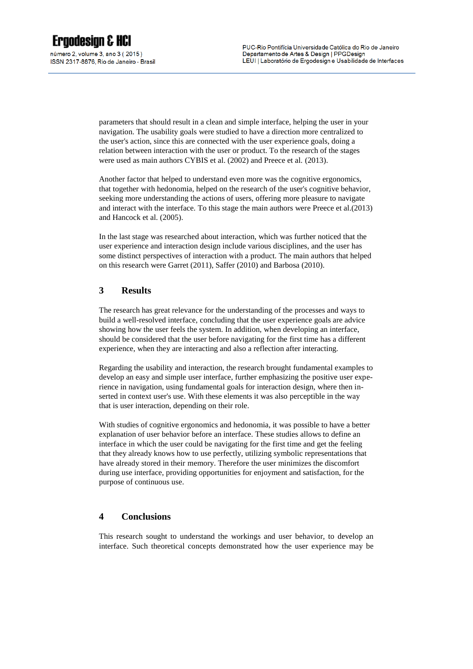parameters that should result in a clean and simple interface, helping the user in your navigation. The usability goals were studied to have a direction more centralized to the user's action, since this are connected with the user experience goals, doing a relation between interaction with the user or product. To the research of the stages were used as main authors CYBIS et al. (2002) and Preece et al. (2013).

Another factor that helped to understand even more was the cognitive ergonomics, that together with hedonomia, helped on the research of the user's cognitive behavior, seeking more understanding the actions of users, offering more pleasure to navigate and interact with the interface. To this stage the main authors were Preece et al.(2013) and Hancock et al. (2005).

In the last stage was researched about interaction, which was further noticed that the user experience and interaction design include various disciplines, and the user has some distinct perspectives of interaction with a product. The main authors that helped on this research were Garret (2011), Saffer (2010) and Barbosa (2010).

## **3 Results**

The research has great relevance for the understanding of the processes and ways to build a well-resolved interface, concluding that the user experience goals are advice showing how the user feels the system. In addition, when developing an interface, should be considered that the user before navigating for the first time has a different experience, when they are interacting and also a reflection after interacting.

Regarding the usability and interaction, the research brought fundamental examples to develop an easy and simple user interface, further emphasizing the positive user experience in navigation, using fundamental goals for interaction design, where then inserted in context user's use. With these elements it was also perceptible in the way that is user interaction, depending on their role.

With studies of cognitive ergonomics and hedonomia, it was possible to have a better explanation of user behavior before an interface. These studies allows to define an interface in which the user could be navigating for the first time and get the feeling that they already knows how to use perfectly, utilizing symbolic representations that have already stored in their memory. Therefore the user minimizes the discomfort during use interface, providing opportunities for enjoyment and satisfaction, for the purpose of continuous use.

## **4 Conclusions**

This research sought to understand the workings and user behavior, to develop an interface. Such theoretical concepts demonstrated how the user experience may be